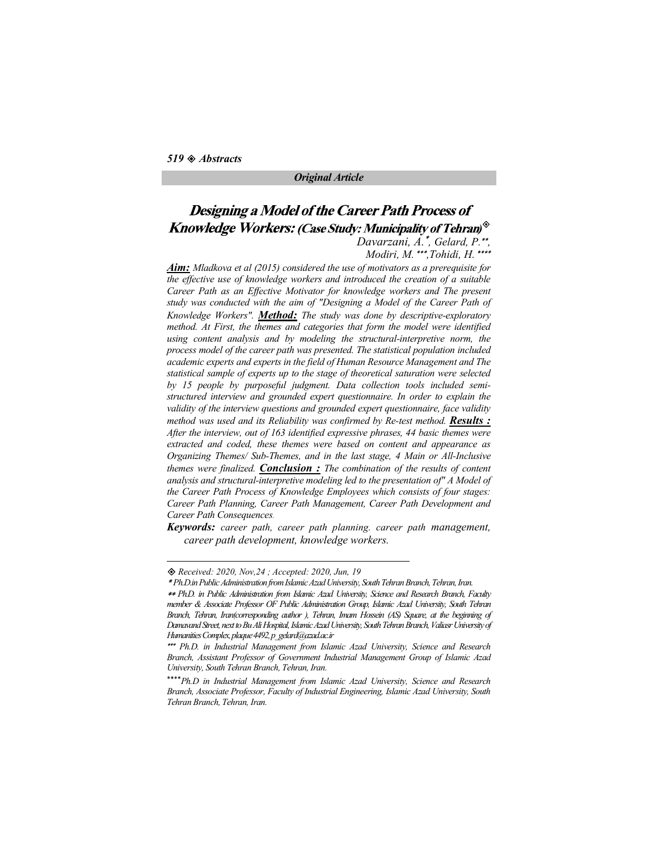### Original Article

# Designing a Model of the Career Path Process of  $\mathcal{V}^{\otimes}$

Davarzani,  $\overline{A}$ .", Gelard,  $\overline{P}$ ."",<br>Modiri, M. """,Tohidi, H. """

**Aim:** Mladkova et al (2015) considered the use of motivators as a prerequisite for the effective use of knowledge workers and introduced the creation of a suitable Career Path as an Effective Motivator for knowledge workers and The present study was conducted with the aim of "Designing a Model of the Career Path of Knowledge Workers". **Method:** The study was done by descriptive-exploratory method. At First, the themes and categories that form the model were identified using content analysis and by modeling the structural-interpretive norm, the process model of the career path was presented. The statistical population included academic experts and experts in the field of Human Resource Management and The statistical sample of experts up to the stage of theoretical saturation were selected by 15 people by purposeful judgment. Data collection tools included semistructured interview and grounded expert questionnaire. In order to explain the validity of the interview questions and grounded expert questionnaire, face validity method was used and its Reliability was confirmed by Re-test method. Results : After the interview, out of 163 identified expressive phrases, 44 basic themes were extracted and coded, these themes were based on content and appearance as Organizing Themes/ Sub-Themes, and in the last stage, 4 Main or All-Inclusive themes were finalized. **Conclusion**: The combination of the results of content analysis and structural-interpretive modeling led to the presentation of" A Model of the Career Path Process of Knowledge Employees which consists of four stages: Career Path Planning, Career Path Management, Career Path Development and Career Path Consequences.

Keywords: career path, career path planning. career path management, career path development, knowledge workers.

Received: 2020, Nov,24 ; Accepted: 2020, Jun, 19

Ph.D.in Public Administration from Islamic Azad University, South Tehran Branch, Tehran, Iran.

Ph.D. in Public Administration from Islamic Azad University, Science and Research Branch, Faculty member & Associate Professor OF Public Administration Group, Islamic Azad University, South Tehran Branch, Tehran, Iran(corresponding author ), Tehran, Imam Hossein (AS) Square, at the beginning of Damavand Street, next to Bu Ali Hospital, Islamic Azad University, South Tehran Branch, Valiasr University of Humanities Complex, plaque 4492, p\_gelard@azad.ac.ir

<sup>\*\*\*</sup> Ph.D. in Industrial Management from Islamic Azad University, Science and Research Branch, Assistant Professor of Government Industrial Management Group of Islamic Azad University, South Tehran Branch, Tehran, Iran.

<sup>\*\*\*\*</sup> Ph.D in Industrial Management from Islamic Azad University, Science and Research Branch, Associate Professor, Faculty of Industrial Engineering, Islamic Azad University, South Tehran Branch, Tehran, Iran.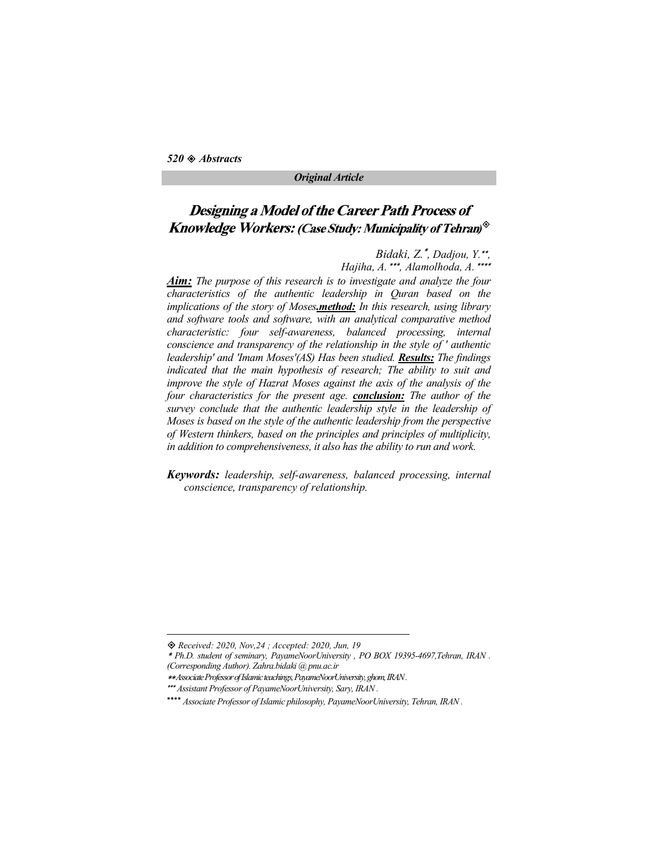### Original Article

## Designing a Model of the Career Path Process of  $\mathcal{V}^{\otimes}$

Bidaki, Z.\*, Dadjou, Y.\*\*,<br>Hajiha, A.\*\*\*, Alamolhoda, A.\*\*\*\*

Aim: The purpose of this research is to investigate and analyze the four characteristics of the authentic leadership in Quran based on the implications of the story of Moses.method: In this research, using library and software tools and software, with an analytical comparative method characteristic: four self-awareness, balanced processing, internal conscience and transparency of the relationship in the style of ' authentic leadership' and 'Imam Moses'(AS) Has been studied. Results: The findings indicated that the main hypothesis of research; The ability to suit and improve the style of Hazrat Moses against the axis of the analysis of the four characteristics for the present age. **conclusion:** The author of the survey conclude that the authentic leadership style in the leadership of Moses is based on the style of the authentic leadership from the perspective of Western thinkers, based on the principles and principles of multiplicity, in addition to comprehensiveness, it also has the ability to run and work.

Keywords: leadership, self-awareness, balanced processing, internal conscience, transparency of relationship.

Received: 2020, Nov,24 ; Accepted: 2020, Jun, 19

Ph.D. student of seminary, PayameNoorUniversity , PO BOX 19395-4697,Tehran, IRAN .

<sup>(</sup>Corresponding Author). Zahra.bidaki @ pnu.ac.ir

Associate Professor of Islamic teachings, PayameNoorUniversity, ghom, IRAN .

Assistant Professor of PayameNoorUniversity, Sary, IRAN .

<sup>\*\*\*\*</sup> Associate Professor of Islamic philosophy, PayameNoorUniversity, Tehran, IRAN.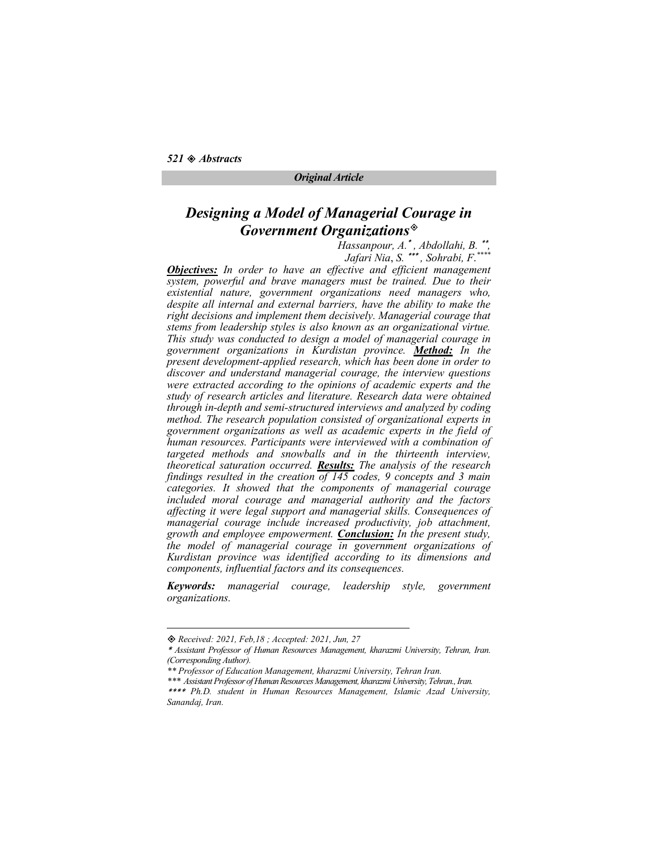### Designing a Model of Managerial Courage in Government Organizations

Hassanpour, A.\*, Abdollahi, B.\*\*,<br>Jafari Nia, S.\*\*\*, Sohrabi, F.\*\*\*\*

**Objectives:** In order to have an effective and efficient management system, powerful and brave managers must be trained. Due to their existential nature, government organizations need managers who, despite all internal and external barriers, have the ability to make the right decisions and implement them decisively. Managerial courage that stems from leadership styles is also known as an organizational virtue. This study was conducted to design a model of managerial courage in government organizations in Kurdistan province. Method: In the present development-applied research, which has been done in order to discover and understand managerial courage, the interview questions were extracted according to the opinions of academic experts and the study of research articles and literature. Research data were obtained through in-depth and semi-structured interviews and analyzed by coding method. The research population consisted of organizational experts in government organizations as well as academic experts in the field of human resources. Participants were interviewed with a combination of targeted methods and snowballs and in the thirteenth interview, theoretical saturation occurred. Results: The analysis of the research findings resulted in the creation  $\overline{of}$  145 codes, 9 concepts and 3 main categories. It showed that the components of managerial courage included moral courage and managerial authority and the factors affecting it were legal support and managerial skills. Consequences of managerial courage include increased productivity, job attachment, growth and employee empowerment. **Conclusion:** In the present study, the model of managerial courage in government organizations of Kurdistan province was identified according to its dimensions and components, influential factors and its consequences.

Keywords: managerial courage, leadership style, government organizations.

Received: 2021, Feb,18 ; Accepted: 2021, Jun, 27

Assistant Professor of Human Resources Management, kharazmi University, Tehran, Iran. (Corresponding Author).<br>\*\* Professor of Education Management, kharazmi University, Tehran Iran.

<sup>\*\*\*</sup> Assistant Professor of Human Resources Management, kharazmi University, Tehran., Iran.

<sup>\*\*\*\*</sup> Ph.D. student in Human Resources Management, Islamic Azad University, Sanandaj, Iran.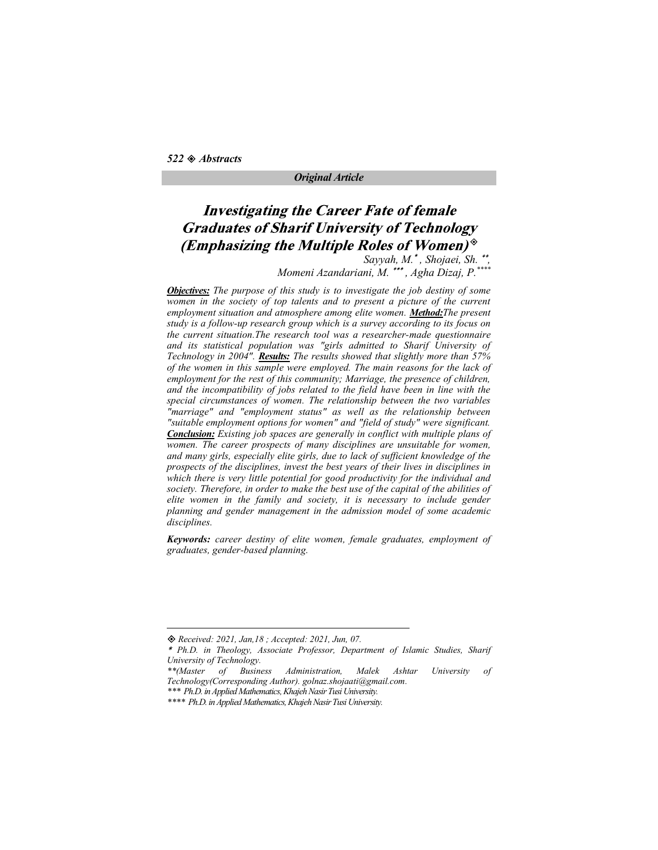# **Investigating the Career Fate of female Graduates of Sharif University of Technology** (Emphasizing the Multiple Roles of Women) $\mathcal$

Sayyah, M.\*, Shojaei, Sh.\*\*,<br>Momeni Azandariani, M. \*\*\*, Agha Dizaj, P.\*\*\*\*

**Objectives:** The purpose of this study is to investigate the job destiny of some women in the society of top talents and to present a picture of the current employment situation and atmosphere among elite women. Method: The present study is a follow-up research group which is a survey according to its focus on the current situation.The research tool was a researcher-made questionnaire and its statistical population was "girls admitted to Sharif University of Technology in 2004". Results: The results showed that slightly more than  $57\%$ of the women in this sample were employed. The main reasons for the lack of employment for the rest of this community; Marriage, the presence of children, and the incompatibility of jobs related to the field have been in line with the special circumstances of women. The relationship between the two variables "marriage" and "employment status" as well as the relationship between "suitable employment options for women" and "field of study" were significant. Conclusion: Existing job spaces are generally in conflict with multiple plans of women. The career prospects of many disciplines are unsuitable for women, and many girls, especially elite girls, due to lack of sufficient knowledge of the prospects of the disciplines, invest the best years of their lives in disciplines in which there is very little potential for good productivity for the individual and society. Therefore, in order to make the best use of the capital of the abilities of elite women in the family and society, it is necessary to include gender planning and gender management in the admission model of some academic disciplines.

Keywords: career destiny of elite women, female graduates, employment of graduates, gender-based planning.

Received: 2021, Jan,18 ; Accepted: 2021, Jun, 07.

Ph.D. in Theology, Associate Professor, Department of Islamic Studies, Sharif University of Technology.

<sup>\*\*(</sup>Master of Business Administration, Malek Ashtar University of

<sup>\*\*\*</sup> Ph.D. in Applied Mathematics, Khajeh Nasir Tusi University.<br>\*\*\*\* Ph.D. in Applied Mathematics, Khajeh Nasir Tusi University.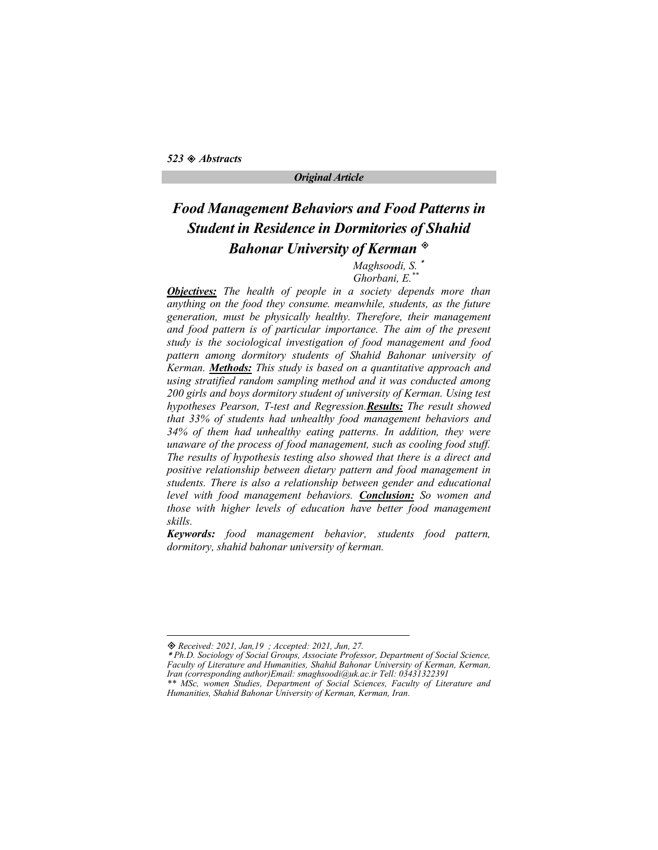# Food Management Behaviors and Food Patterns in Student in Residence in Dormitories of Shahid Bahonar University of Kerman<sup>®</sup>

Maghsoodi, S. Ghorbani, E.\*\*

**Objectives:** The health of people in a society depends more than anything on the food they consume. meanwhile, students, as the future generation, must be physically healthy. Therefore, their management and food pattern is of particular importance. The aim of the present study is the sociological investigation of food management and food pattern among dormitory students of Shahid Bahonar university of Kerman. Methods: This study is based on a quantitative approach and using stratified random sampling method and it was conducted among 200 girls and boys dormitory student of university of Kerman. Using test hypotheses Pearson, T-test and Regression.Results: The result showed that 33% of students had unhealthy food management behaviors and 34% of them had unhealthy eating patterns. In addition, they were unaware of the process of food management, such as cooling food stuff. The results of hypothesis testing also showed that there is a direct and positive relationship between dietary pattern and food management in students. There is also a relationship between gender and educational level with food management behaviors. **Conclusion:** So women and those with higher levels of education have better food management skills.

Keywords: food management behavior, students food pattern, dormitory, shahid bahonar university of kerman.

Received: 2021, Jan,19 ; Accepted: 2021, Jun, 27.

Ph.D. Sociology of Social Groups, Associate Professor, Department of Social Science, Faculty of Literature and Humanities, Shahid Bahonar University of Kerman, Kerman, Iran (corresponding author)Email: smaghsoodi@uk.ac.ir Tell: 03431322391 \*\* MSc, women Studies, Department of Social Sciences, Faculty of Literature and Humanities, Shahid Bahonar University of Kerman, Kerman, Iran.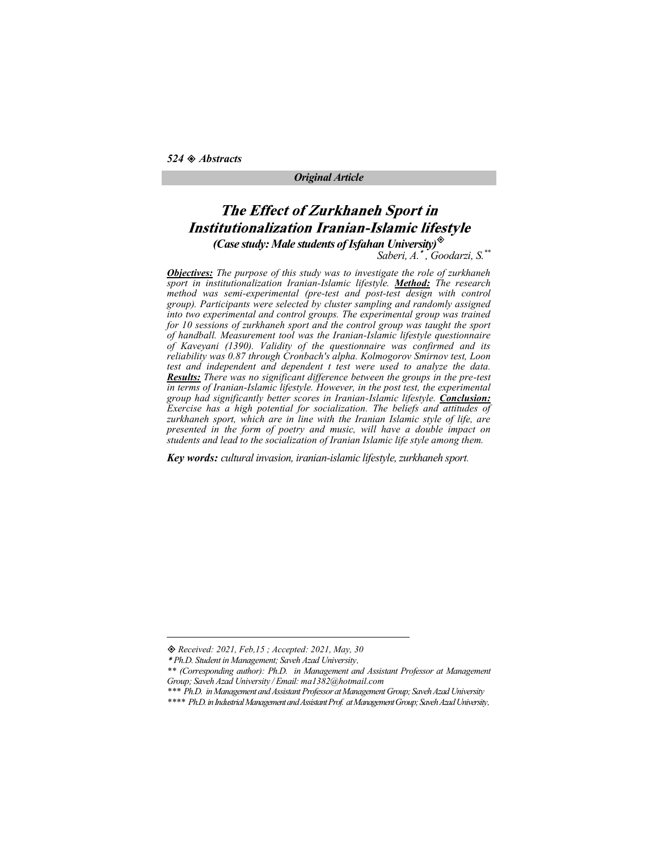$524 \otimes$  Abstracts

### Original Article

### **The Effect of Zurkhaneh Sport in Institutionalization Iranian-Islamic lifestyle** (Case study: Male students of Isfahan University) $^{\diamondsuit}$

Saberi, A. \*, Goodarzi, S. \*\*

**Objectives:** The purpose of this study was to investigate the role of zurkhaneh sport in institutionalization Iranian-Islamic lifestyle. Method: The research method was semi-experimental (pre-test and post-test design with control group). Participants were selected by cluster sampling and randomly assigned into two experimental and control groups. The experimental group was trained for 10 sessions of zurkhaneh sport and the control group was taught the sport of handball. Measurement tool was the Iranian-Islamic lifestyle questionnaire of Kaveyani (1390). Validity of the questionnaire was confirmed and its reliability was 0.87 through Cronbach's alpha. Kolmogorov Smirnov test, Loon test and independent and dependent t test were used to analyze the data. Results: There was no significant difference between the groups in the pre-test in terms of Iranian-Islamic lifestyle. However, in the post test, the experimental group had significantly better scores in Iranian-Islamic lifestyle. Conclusion: Exercise has a high potential for socialization. The beliefs and attitudes of zurkhaneh sport, which are in line with the Iranian Islamic style of life, are presented in the form of poetry and music, will have a double impact on students and lead to the socialization of Iranian Islamic life style among them.

Key words: cultural invasion, iranian-islamic lifestyle, zurkhaneh sport.

\*\* (Corresponding author): Ph.D. in Management and Assistant Professor at Management

Received: 2021, Feb,15 ; Accepted: 2021, May, 30

Ph.D. Student in Management; Saveh Azad University

<sup>\*\*\*</sup> Ph.D. in Management and Assistant Professor at Management Group; Saveh Azad University<br>\*\*\*\* Ph.D. in Industrial Management and Assistant Prof. at Management Group; Saveh Azad University.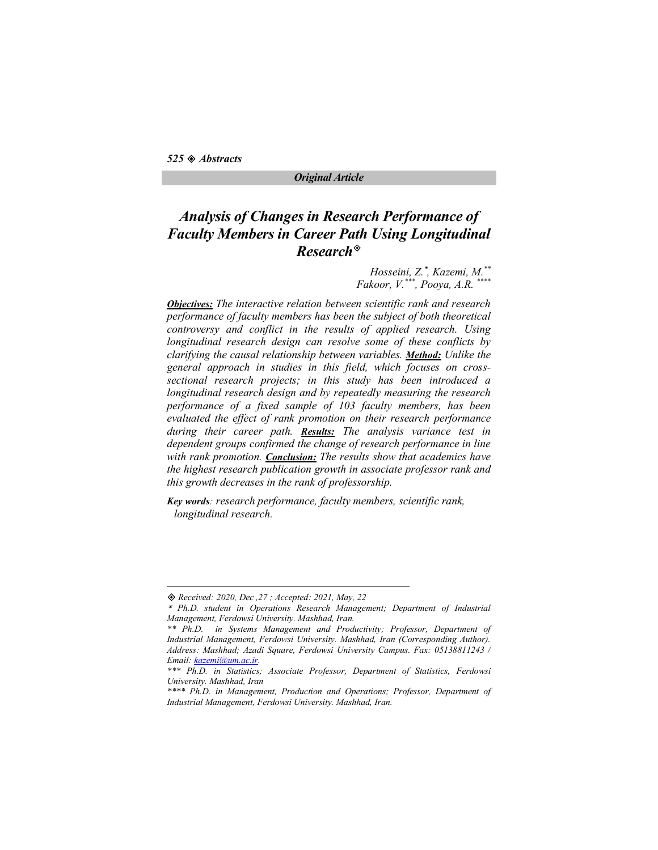### Original Article

# Analysis of Changes in Research Performance of Faculty Members in Career Path Using Longitudinal Research

Hosseini, Z.\*, Kazemi, M.\*\*  $Fakoor, V.**, Poova, A.R.$ 

Objectives: The interactive relation between scientific rank and research performance of faculty members has been the subject of both theoretical controversy and conflict in the results of applied research. Using longitudinal research design can resolve some of these conflicts by clarifying the causal relationship between variables. Method: Unlike the general approach in studies in this field, which focuses on crosssectional research projects; in this study has been introduced a longitudinal research design and by repeatedly measuring the research performance of a fixed sample of 103 faculty members, has been evaluated the effect of rank promotion on their research performance during their career path. Results: The analysis variance test in dependent groups confirmed the change of research performance in line with rank promotion. Conclusion: The results show that academics have the highest research publication growth in associate professor rank and this growth decreases in the rank of professorship.

Key words: research performance, faculty members, scientific rank, longitudinal research.

Received: 2020, Dec ,27 ; Accepted: 2021, May, 22

Ph.D. student in Operations Research Management; Department of Industrial Management, Ferdowsi University. Mashhad, Iran.

<sup>\*\*</sup> Ph.D. in Systems Management and Productivity; Professor, Department of Industrial Management, Ferdowsi University. Mashhad, Iran (Corresponding Author). Address: Mashhad; Azadi Square, Ferdowsi University Campus. Fax: 05138811243 / Email: <u>kazemi@um.ac.ir</u>.<br>\*\*\* Ph.D. in Statistics; Associate Professor, Department of Statistics, Ferdowsi

University. Mashhad, Iran

<sup>\*\*\*\*</sup> Ph.D. in Management, Production and Operations; Professor, Department of Industrial Management, Ferdowsi University. Mashhad, Iran.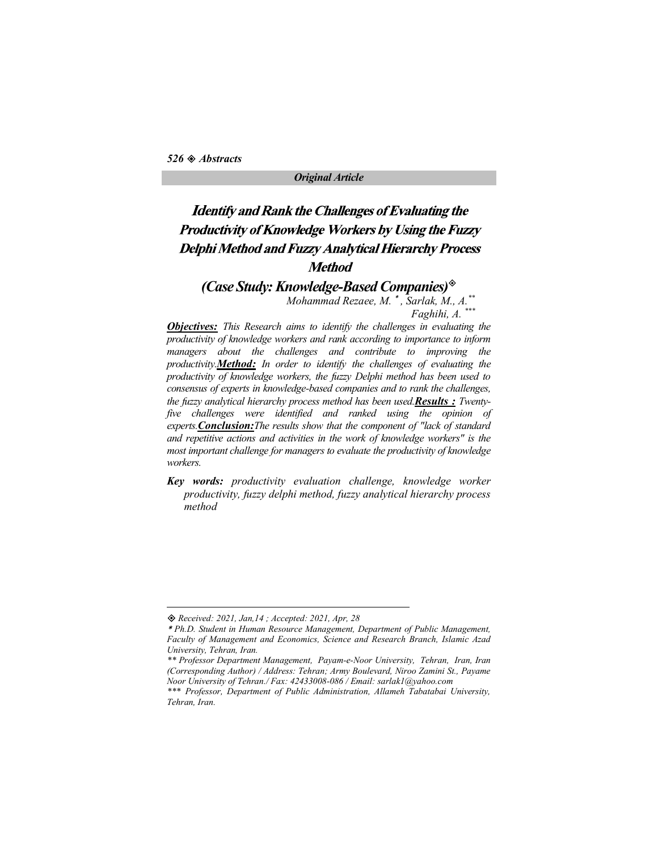### Original Article

# **Identify and Rank the Challenges of Evaluating the** Productivity of Knowledge Workers by Using the Fuzzy **Delphi Method and Fuzzy Analytical Hierarchy Process Method**

(Case Study: Knowledge-Based Companies) $\textcircled{}$ 

Mohammad Rezaee, M.  $*$ , Sarlak, M., A. $*$ Faghihi, A. \*\*\*

**Objectives:** This Research aims to identify the challenges in evaluating the productivity of knowledge workers and rank according to importance to inform managers about the challenges and contribute to improving the productivity.**Method:** In order to identify the challenges of evaluating the productivity of knowledge workers, the fuzzy Delphi method has been used to consensus of experts in knowledge-based companies and to rank the challenges, the fuzzy analytical hierarchy process method has been used. Results: Twentyfive challenges were identified and ranked using the opinion of experts. Conclusion: The results show that the component of "lack of standard and repetitive actions and activities in the work of knowledge workers" is the most important challenge for managers to evaluate the productivity of knowledge workers.

Key words: productivity evaluation challenge, knowledge worker productivity, fuzzy delphi method, fuzzy analytical hierarchy process method

Received: 2021, Jan,14 ; Accepted: 2021, Apr, 28

Ph.D. Student in Human Resource Management, Department of Public Management, Faculty of Management and Economics, Science and Research Branch, Islamic Azad University, Tehran, Iran.

<sup>\*\*</sup> Professor Department Management, Payam-e-Noor University, Tehran, Iran, Iran (Corresponding Author) / Address: Tehran; Army Boulevard, Niroo Zamini St., Payame

<sup>\*\*\*</sup> Professor, Department of Public Administration, Allameh Tabatabai University, Tehran, Iran.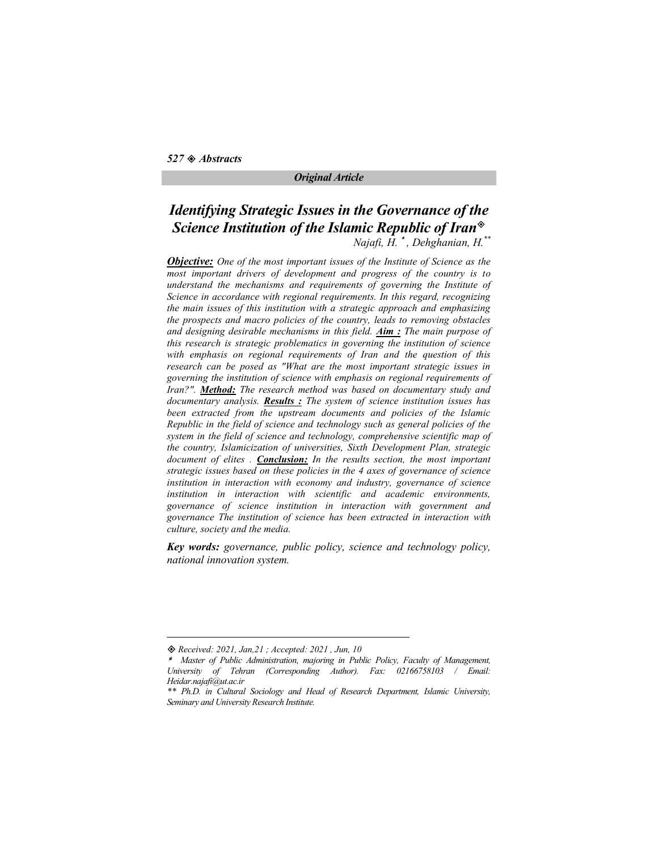$527$   $\otimes$  Abstracts

### Original Article

# Identifying Strategic Issues in the Governance of the Science Institution of the Islamic Republic of Iran<sup>®</sup>

Najafi,  $\overline{H}$ . \*, Dehghanian,  $H$ . \*\*

**Objective:** One of the most important issues of the Institute of Science as the most important drivers of development and progress of the country is to understand the mechanisms and requirements of governing the Institute of Science in accordance with regional requirements. In this regard, recognizing the main issues of this institution with a strategic approach and emphasizing the prospects and macro policies of the country, leads to removing obstacles and designing desirable mechanisms in this field.  $Aim:$  The main purpose of this research is strategic problematics in governing the institution of science with emphasis on regional requirements of Iran and the question of this research can be posed as "What are the most important strategic issues in governing the institution of science with emphasis on regional requirements of Iran?". Method: The research method was based on documentary study and documentary analysis. **Results :** The system of science institution issues has been extracted from the upstream documents and policies of the Islamic Republic in the field of science and technology such as general policies of the system in the field of science and technology, comprehensive scientific map of the country, Islamicization of universities, Sixth Development Plan, strategic document of elites . Conclusion: In the results section, the most important strategic issues based on these policies in the 4 axes of governance of science institution in interaction with economy and industry, governance of science institution in interaction with scientific and academic environments, governance of science institution in interaction with government and governance The institution of science has been extracted in interaction with culture, society and the media.

Key words: governance, public policy, science and technology policy, national innovation system.

Received: 2021, Jan,21 ; Accepted: 2021 , Jun, 10

Master of Public Administration, majoring in Public Policy, Faculty of Management, University of Tehran (Corresponding Author). Fax: 02166758103 / Email: Heidar.najafi@ut.ac.ir<br>\*\* Ph.D. in Cultural Sociology and Head of Research Department, Islamic University,

Seminary and University Research Institute.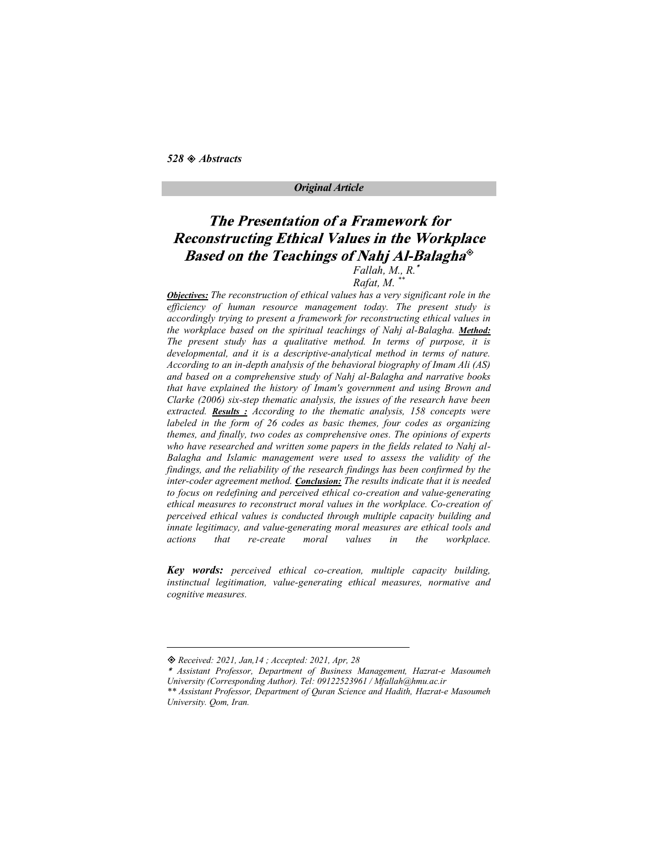#### Original Article

# **The Presentation of a Framework for Reconstructing Ethical Values in the Workplace** Based on the Teachings of Nahj Al-Balagha®

### Fallah, M., R.

### Rafat, M. \*\*

**Objectives:** The reconstruction of ethical values has a very significant role in the efficiency of human resource management today. The present study is accordingly trying to present a framework for reconstructing ethical values in the workplace based on the spiritual teachings of Nahj al-Balagha. Method: The present study has a qualitative method. In terms of purpose, it is developmental, and it is a descriptive-analytical method in terms of nature. According to an in-depth analysis of the behavioral biography of Imam Ali (AS) and based on a comprehensive study of Nahj al-Balagha and narrative books that have explained the history of Imam's government and using Brown and Clarke (2006) six-step thematic analysis, the issues of the research have been extracted. **Results**: According to the thematic analysis, 158 concepts were labeled in the form of 26 codes as basic themes, four codes as organizing themes, and finally, two codes as comprehensive ones. The opinions of experts who have researched and written some papers in the fields related to Nahj al-Balagha and Islamic management were used to assess the validity of the findings, and the reliability of the research findings has been confirmed by the inter-coder agreement method. Conclusion: The results indicate that it is needed to focus on redefining and perceived ethical co-creation and value-generating ethical measures to reconstruct moral values in the workplace. Co-creation of perceived ethical values is conducted through multiple capacity building and innate legitimacy, and value-generating moral measures are ethical tools and actions that re-create moral values in the workplace.

Key words: perceived ethical co-creation, multiple capacity building, instinctual legitimation, value-generating ethical measures, normative and cognitive measures.

Received: 2021, Jan,14 ; Accepted: 2021, Apr, 28

Assistant Professor, Department of Business Management, Hazrat-e Masoumeh University (Corresponding Author). Tel: 09122523961 / Mfallah@hmu.ac.ir

<sup>\*\*</sup> Assistant Professor, Department of Quran Science and Hadith, Hazrat-e Masoumeh University. Qom, Iran.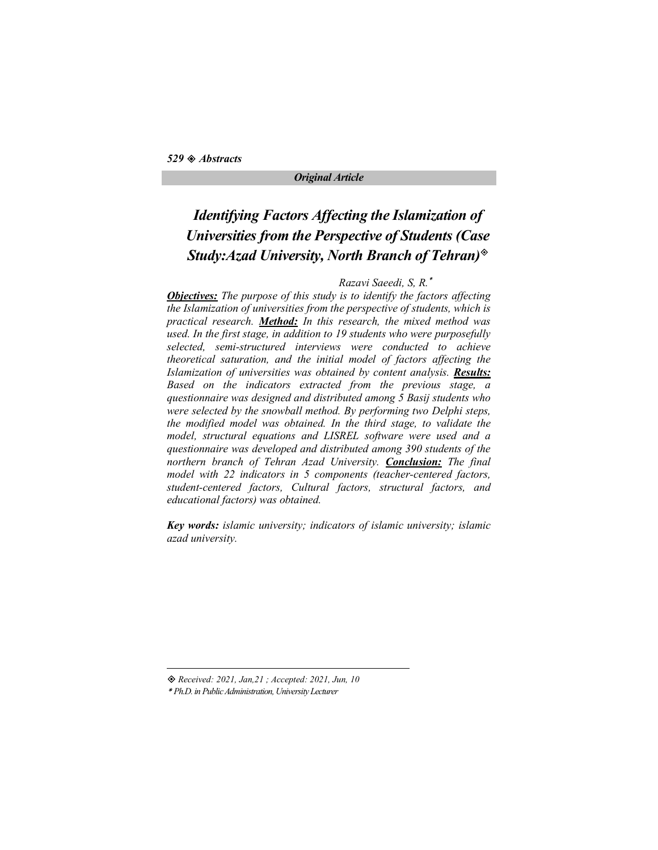# Identifying Factors Affecting the Islamization of Universities from the Perspective of Students (Case Study: Azad University, North Branch of Tehran)<sup>®</sup>

### Razavi Saeedi, S, R.

**Objectives:** The purpose of this study is to identify the factors affecting the Islamization of universities from the perspective of students, which is practical research. Method: In this research, the mixed method was used. In the first stage, in addition to 19 students who were purposefully selected, semi-structured interviews were conducted to achieve theoretical saturation, and the initial model of factors affecting the Islamization of universities was obtained by content analysis. Results: Based on the indicators extracted from the previous stage, a questionnaire was designed and distributed among 5 Basij students who were selected by the snowball method. By performing two Delphi steps, the modified model was obtained. In the third stage, to validate the model, structural equations and LISREL software were used and a questionnaire was developed and distributed among 390 students of the northern branch of Tehran Azad University. **Conclusion:** The final model with 22 indicators in 5 components (teacher-centered factors, student-centered factors, Cultural factors, structural factors, and educational factors) was obtained.

Key words: islamic university; indicators of islamic university; islamic azad university.

Received: 2021, Jan,21 ; Accepted: 2021, Jun, 10

Ph.D. in Public Administration, University Lecturer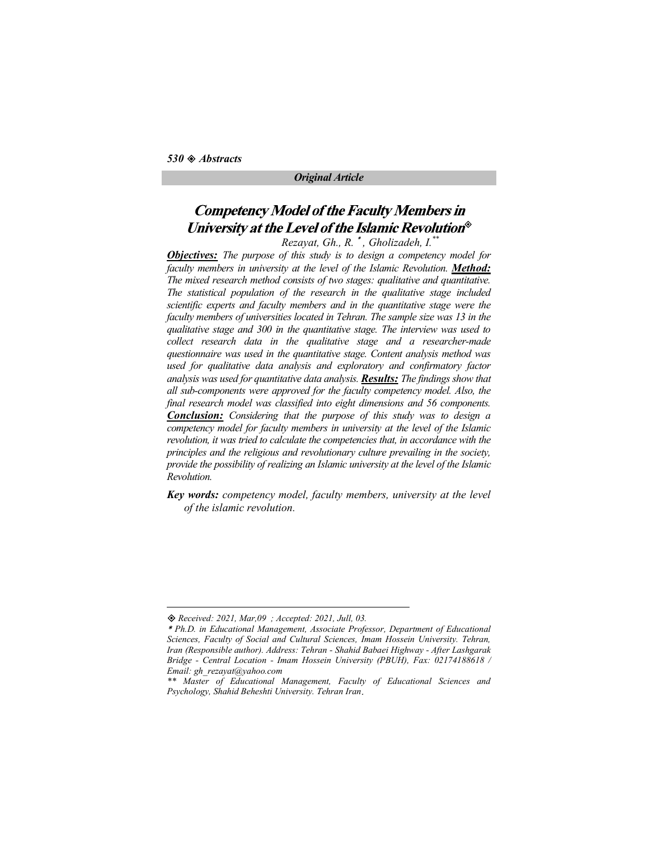# **Competency Model of the Faculty Members in** University at the Level of the Islamic Revolution®

 $Rez$ ayat, Gh., R.  $^*$ , Gholizadeh, I. $^*$ 

**Objectives:** The purpose of this study is to design a competency model for faculty members in university at the level of the Islamic Revolution. **Method:** The mixed research method consists of two stages: qualitative and quantitative. The statistical population of the research in the qualitative stage included scientific experts and faculty members and in the quantitative stage were the faculty members of universities located in Tehran. The sample size was 13 in the qualitative stage and 300 in the quantitative stage. The interview was used to collect research data in the qualitative stage and a researcher-made questionnaire was used in the quantitative stage. Content analysis method was used for qualitative data analysis and exploratory and confirmatory factor analysis was used for quantitative data analysis. Results: The findings show that all sub-components were approved for the faculty competency model. Also, the final research model was classified into eight dimensions and 56 components. **Conclusion:** Considering that the purpose of this study was to design a competency model for faculty members in university at the level of the Islamic revolution, it was tried to calculate the competencies that, in accordance with the principles and the religious and revolutionary culture prevailing in the society, provide the possibility of realizing an Islamic university at the level of the Islamic Revolution.

Key words: competency model, faculty members, university at the level of the islamic revolution.

Received: 2021, Mar,09 ; Accepted: 2021, Jull, 03.

Ph.D. in Educational Management, Associate Professor, Department of Educational Sciences, Faculty of Social and Cultural Sciences, Imam Hossein University. Tehran, Iran (Responsible author). Address: Tehran - Shahid Babaei Highway - After Lashgarak Bridge - Central Location - Imam Hossein University (PBUH), Fax: 02174188618 / Email: gh\_rezayat@yahoo.com

<sup>\*\*</sup> Master of Educational Management, Faculty of Educational Sciences and Psychology, Shahid Beheshti University. Tehran Iran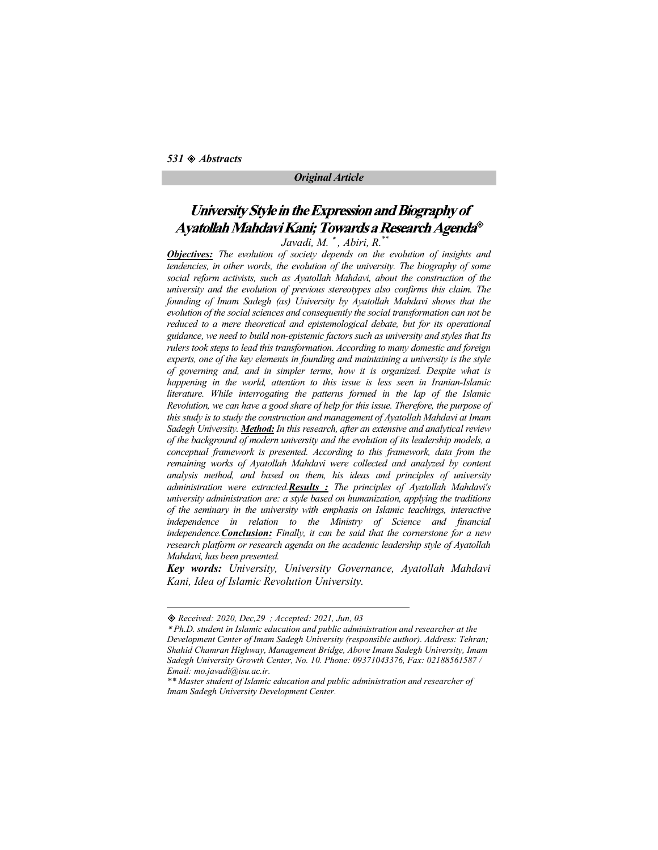# University Style in the Expression and Biography of Ayatollah Mahdavi Kani; Towards a Research Agenda®

Javadi, M.  $^*$ , Abiri, R. $^*$ 

**Objectives:** The evolution of society depends on the evolution of insights and tendencies, in other words, the evolution of the university. The biography of some social reform activists, such as Ayatollah Mahdavi, about the construction of the university and the evolution of previous stereotypes also confirms this claim. The founding of Imam Sadegh (as) University by Ayatollah Mahdavi shows that the evolution of the social sciences and consequently the social transformation can not be reduced to a mere theoretical and epistemological debate, but for its operational guidance, we need to build non-epistemic factors such as university and styles that Its rulers took steps to lead this transformation. According to many domestic and foreign experts, one of the key elements in founding and maintaining a university is the style of governing and, and in simpler terms, how it is organized. Despite what is happening in the world, attention to this issue is less seen in Iranian-Islamic literature. While interrogating the patterns formed in the lap of the Islamic Revolution, we can have a good share of help for this issue. Therefore, the purpose of this study is to study the construction and management of Ayatollah Mahdavi at Imam Sadegh University. Method: In this research, after an extensive and analytical review of the background of modern university and the evolution of its leadership models, a conceptual framework is presented. According to this framework, data from the remaining works of Ayatollah Mahdavi were collected and analyzed by content analysis method, and based on them, his ideas and principles of university administration were extracted. Results  $\therefore$  The principles of Ayatollah Mahdavi's university administration are: a style based on humanization, applying the traditions of the seminary in the university with emphasis on Islamic teachings, interactive independence in relation to the Ministry of Science and financial independence. Conclusion: Finally, it can be said that the cornerstone for a new research platform or research agenda on the academic leadership style of Ayatollah Mahdavi, has been presented.

Key words: University, University Governance, Ayatollah Mahdavi Kani, Idea of Islamic Revolution University.

Received: 2020, Dec,29 ; Accepted: 2021, Jun, 03

Ph.D. student in Islamic education and public administration and researcher at the Development Center of Imam Sadegh University (responsible author). Address: Tehran; Shahid Chamran Highway, Management Bridge, Above Imam Sadegh University, Imam Sadegh University Growth Center, No. 10. Phone: 09371043376, Fax: 02188561587 / Email: mo.javadi@isu.ac.ir.

<sup>\*\*</sup> Master student of Islamic education and public administration and researcher of Imam Sadegh University Development Center.